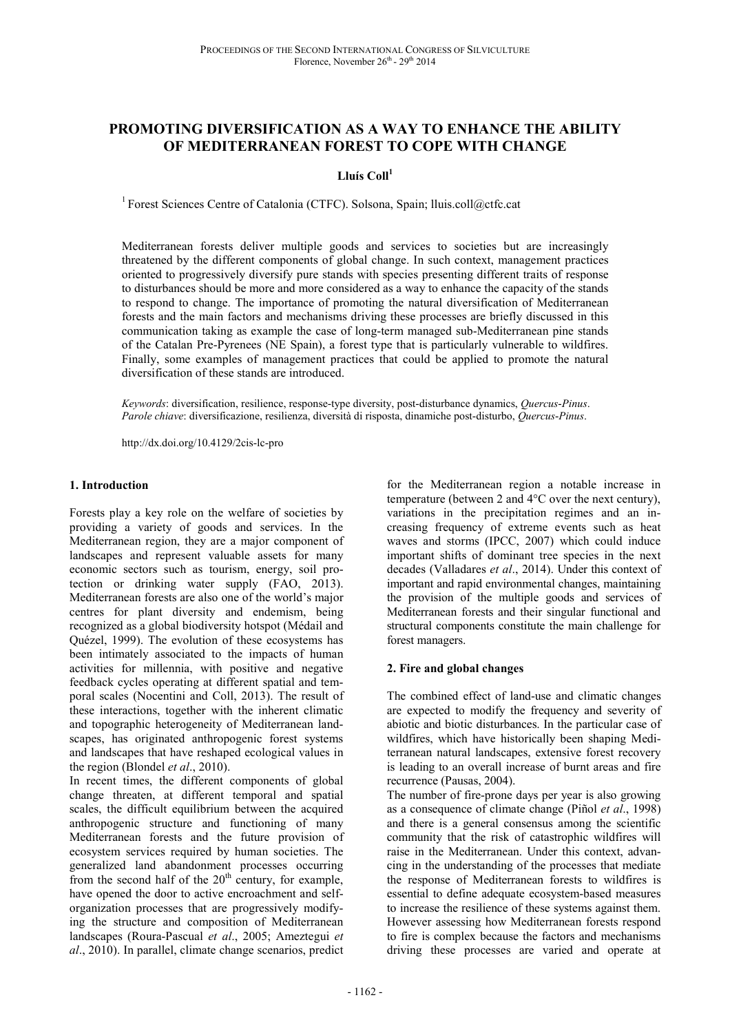# **PROMOTING DIVERSIFICATION AS A WAY TO ENHANCE THE ABILITY OF MEDITERRANEAN FOREST TO COPE WITH CHANGE**

**Lluís Coll<sup>1</sup>**

<sup>1</sup> Forest Sciences Centre of Catalonia (CTFC). Solsona, Spain; lluis.coll@ctfc.cat

Mediterranean forests deliver multiple goods and services to societies but are increasingly threatened by the different components of global change. In such context, management practices oriented to progressively diversify pure stands with species presenting different traits of response to disturbances should be more and more considered as a way to enhance the capacity of the stands to respond to change. The importance of promoting the natural diversification of Mediterranean forests and the main factors and mechanisms driving these processes are briefly discussed in this communication taking as example the case of long-term managed sub-Mediterranean pine stands of the Catalan Pre-Pyrenees (NE Spain), a forest type that is particularly vulnerable to wildfires. Finally, some examples of management practices that could be applied to promote the natural diversification of these stands are introduced.

*Keywords*: diversification, resilience, response-type diversity, post-disturbance dynamics, *Quercus*-*Pinus*. *Parole chiave*: diversificazione, resilienza, diversità di risposta, dinamiche post-disturbo, *Quercus*-*Pinus*.

http://dx.doi.org/10.4129/2cis-lc-pro

### **1. Introduction**

Forests play a key role on the welfare of societies by providing a variety of goods and services. In the Mediterranean region, they are a major component of landscapes and represent valuable assets for many economic sectors such as tourism, energy, soil protection or drinking water supply (FAO, 2013). Mediterranean forests are also one of the world's major centres for plant diversity and endemism, being recognized as a global biodiversity hotspot (Médail and Quézel, 1999). The evolution of these ecosystems has been intimately associated to the impacts of human activities for millennia, with positive and negative feedback cycles operating at different spatial and temporal scales (Nocentini and Coll, 2013). The result of these interactions, together with the inherent climatic and topographic heterogeneity of Mediterranean landscapes, has originated anthropogenic forest systems and landscapes that have reshaped ecological values in the region (Blondel *et al*., 2010).

In recent times, the different components of global change threaten, at different temporal and spatial scales, the difficult equilibrium between the acquired anthropogenic structure and functioning of many Mediterranean forests and the future provision of ecosystem services required by human societies. The generalized land abandonment processes occurring from the second half of the  $20<sup>th</sup>$  century, for example, have opened the door to active encroachment and selforganization processes that are progressively modifying the structure and composition of Mediterranean landscapes (Roura-Pascual *et al*., 2005; Ameztegui *et al*., 2010). In parallel, climate change scenarios, predict

for the Mediterranean region a notable increase in temperature (between 2 and 4°C over the next century), variations in the precipitation regimes and an increasing frequency of extreme events such as heat waves and storms (IPCC, 2007) which could induce important shifts of dominant tree species in the next decades (Valladares *et al*., 2014). Under this context of important and rapid environmental changes, maintaining the provision of the multiple goods and services of Mediterranean forests and their singular functional and structural components constitute the main challenge for forest managers.

### **2. Fire and global changes**

The combined effect of land-use and climatic changes are expected to modify the frequency and severity of abiotic and biotic disturbances. In the particular case of wildfires, which have historically been shaping Mediterranean natural landscapes, extensive forest recovery is leading to an overall increase of burnt areas and fire recurrence (Pausas, 2004).

The number of fire-prone days per year is also growing as a consequence of climate change (Piñol *et al*., 1998) and there is a general consensus among the scientific community that the risk of catastrophic wildfires will raise in the Mediterranean. Under this context, advancing in the understanding of the processes that mediate the response of Mediterranean forests to wildfires is essential to define adequate ecosystem-based measures to increase the resilience of these systems against them. However assessing how Mediterranean forests respond to fire is complex because the factors and mechanisms driving these processes are varied and operate at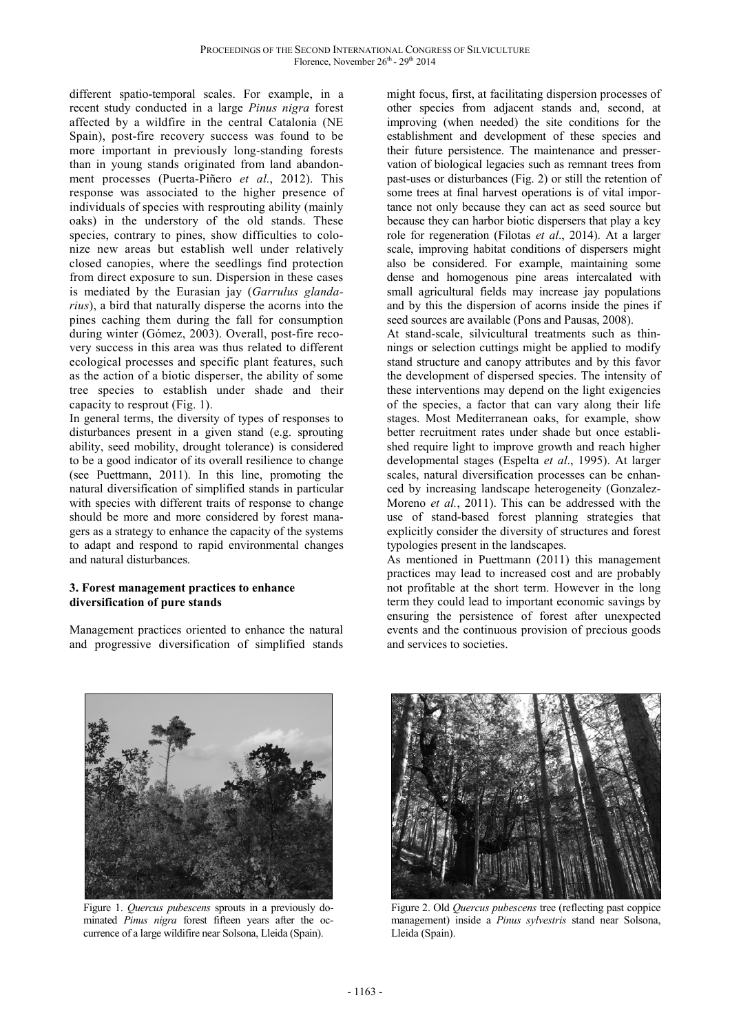different spatio-temporal scales. For example, in a recent study conducted in a large *Pinus nigra* forest affected by a wildfire in the central Catalonia (NE Spain), post-fire recovery success was found to be more important in previously long-standing forests than in young stands originated from land abandonment processes (Puerta-Piñero *et al*., 2012). This response was associated to the higher presence of individuals of species with resprouting ability (mainly oaks) in the understory of the old stands. These species, contrary to pines, show difficulties to colonize new areas but establish well under relatively closed canopies, where the seedlings find protection from direct exposure to sun. Dispersion in these cases is mediated by the Eurasian jay (*Garrulus glandarius*), a bird that naturally disperse the acorns into the pines caching them during the fall for consumption during winter (Gómez, 2003). Overall, post-fire recovery success in this area was thus related to different ecological processes and specific plant features, such as the action of a biotic disperser, the ability of some tree species to establish under shade and their capacity to resprout (Fig. 1).

In general terms, the diversity of types of responses to disturbances present in a given stand (e.g. sprouting ability, seed mobility, drought tolerance) is considered to be a good indicator of its overall resilience to change (see Puettmann, 2011). In this line, promoting the natural diversification of simplified stands in particular with species with different traits of response to change should be more and more considered by forest managers as a strategy to enhance the capacity of the systems to adapt and respond to rapid environmental changes and natural disturbances.

### **3. Forest management practices to enhance diversification of pure stands**

Management practices oriented to enhance the natural and progressive diversification of simplified stands might focus, first, at facilitating dispersion processes of other species from adjacent stands and, second, at improving (when needed) the site conditions for the establishment and development of these species and their future persistence. The maintenance and presservation of biological legacies such as remnant trees from past-uses or disturbances (Fig. 2) or still the retention of some trees at final harvest operations is of vital importance not only because they can act as seed source but because they can harbor biotic dispersers that play a key role for regeneration (Filotas *et al*., 2014). At a larger scale, improving habitat conditions of dispersers might also be considered. For example, maintaining some dense and homogenous pine areas intercalated with small agricultural fields may increase jay populations and by this the dispersion of acorns inside the pines if seed sources are available (Pons and Pausas, 2008).

At stand-scale, silvicultural treatments such as thinnings or selection cuttings might be applied to modify stand structure and canopy attributes and by this favor the development of dispersed species. The intensity of these interventions may depend on the light exigencies of the species, a factor that can vary along their life stages. Most Mediterranean oaks, for example, show better recruitment rates under shade but once established require light to improve growth and reach higher developmental stages (Espelta *et al*., 1995). At larger scales, natural diversification processes can be enhanced by increasing landscape heterogeneity (Gonzalez-Moreno *et al.*, 2011). This can be addressed with the use of stand-based forest planning strategies that explicitly consider the diversity of structures and forest typologies present in the landscapes.

As mentioned in Puettmann (2011) this management practices may lead to increased cost and are probably not profitable at the short term. However in the long term they could lead to important economic savings by ensuring the persistence of forest after unexpected events and the continuous provision of precious goods and services to societies.



Figure 1. *Quercus pubescens* sprouts in a previously dominated *Pinus nigra* forest fifteen years after the occurrence of a large wildifire near Solsona, Lleida (Spain).



Figure 2. Old *Quercus pubescens* tree (reflecting past coppice management) inside a *Pinus sylvestris* stand near Solsona, Lleida (Spain).